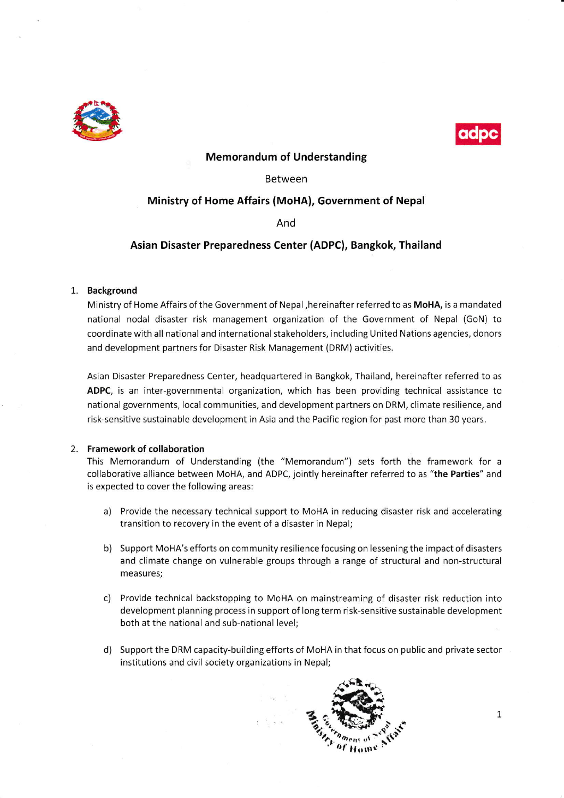



## Memorandum of Understanding

#### Between

# Ministry of Home Affairs (MoHA), Government of Nepal

And

## Asian Disaster Preparedness Center (ADPC), Bangkok, Thailand

#### 1. Background

Ministry of Home Affairs of the Government of Nepal ,hereinafter referred to as MoHA, is a mandated national nodal disaster risk management organization of the Government of Nepal (GoN) to coordinate with all national and international stakeholders, including United Nations agencies, donors and development partners for Disaster Risk Management (DRM) activities.

Asian Disaster Preparedness Center, headquartered in Bangkok, Thailand, hereinafter referred to as ADPC, is an inter-governmental organization, which has been providing technical assistance to national governments, local communities, and development partners on DRM, climate resilience, and risk-sensitive sustainable development in Asia and the Pacific region for past more than 30 years.

#### 2. Framework of collaboration

This Memorandum of Understanding (the "Memorandum") sets forth the framework for <sup>a</sup> collaborative alliance between MoHA, and ADPC, jointly hereinafter referred to as "the Parties" and is expected to cover the following areas:

- a) Provide the necessary technical support to MoHA in reducing disaster risk and accelerating transition to recovery in the event of a disaster in Nepal;
- b) Support MoHA's efforts on community resilience focusing on lessening the impact of disasters and climate change on vulnerable groups through a range of structural and non-structural measures;
- c) Provide technical backstopping to MoHA on mainstreaming of disaster risk reduction into development planning process in support of long term risk-sensitive sustainable development both at the national and sub-national level;
- d) Support the DRM capacity-building efforts of MoHA in that focus on public and private sector institutions and civil society organizations in Nepal;

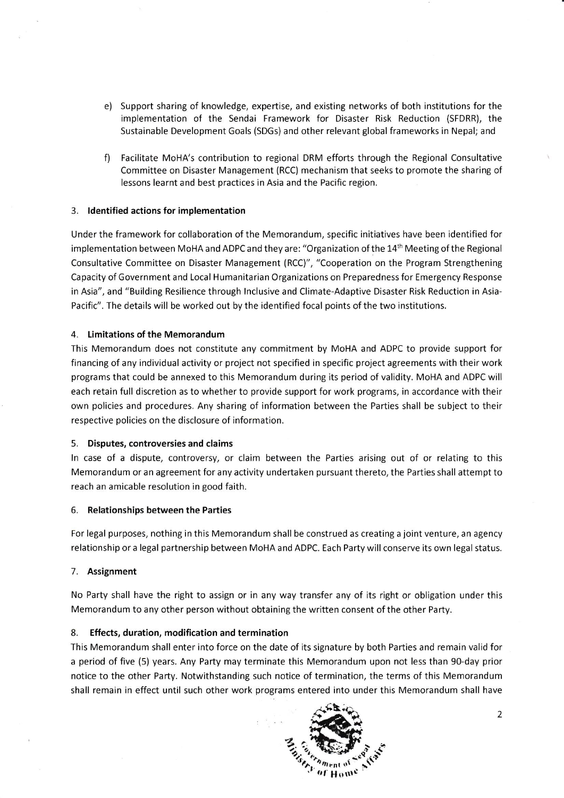- e) Support sharing of knowledge, expertise, and existing networks of both institutions for the implementation of the Sendai Framework for Disaster Risk Reduction (SFDRR), the Sustainable Development Goals (SDGs) and other relevant global frameworks in Nepal; and
- f) Facilitate MoHA's contribution to regional DRM efforts through the Regional Consultative Committee on Disaster Management (RCC) mechanism that seeks to promote the sharing of lessons learnt and best practices in Asia and the Pacific region.

## 3. ldentified actions for implementation

Under the framework for collaboration of the Memorandum, specific initiatives have been identified for implementation between MoHA and ADPC and they are: "Organization of the 14<sup>th</sup> Meeting of the Regional Consultative Committee on Disaster Management (RCC)", "Cooperation on the Program Strengthening Capacity of Government and Local Humanitarian Organizations on Preparedness for Emergency Response in Asia", and "Building Resilience through lnclusive and Climate-Adaptive Disaster Risk Reduction in Asia-Pacific". The details will be worked out by the identified focal points ofthe two institutions.

## 4. Limitations of the Memorandum

This Memorandum does not constitute any commitment by MoHA and ADPC to provide support for financing of any individual activity or project not specified in specific project agreements with their work programs that could be annexed to this Memorandum during its period of validity. MoHA and ADPC will each retain full discretion as to whether to provide support for work programs, in accordance with their own policies and procedures. Any sharing of information between the Parties shall be subject to their respective policies on the disclosure of information.

## 5. Disputes, controversies and claims

ln case of a dispute, controversy, or claim between the Parties arising out of or relating to this Memorandum or an agreement for any activity undertaken pursuant thereto, the Parties shall attempt to reach an amicable resolution in good faith.

## 6. Relationships between the Parties

For legal purposes, nothing in this Memorandum shall be construed as creating a joint venture, an agency relationship or a legal partnership between MoHA and ADPC. Each Party will conserve its own legal status.

# 7. Assignment

No Party shall have the right to assign or in any way transfer any of its right or obligation under this Memorandum to any other person without obtaining the written consent of the other Party.

# 8. Effects, duration, modification and termination

This Memorandum shall enter into force on the date of its signature by both Parties and remain valid for a period of five (5) years. Any Party may terminate this Memorandum upon not less than 90-day prior notice to the other Party. Notwithstanding such notice of termination, the terms of this Memorandum shall remain in effect until such other work programs entered into under this Memorandum shall have



 $\overline{2}$